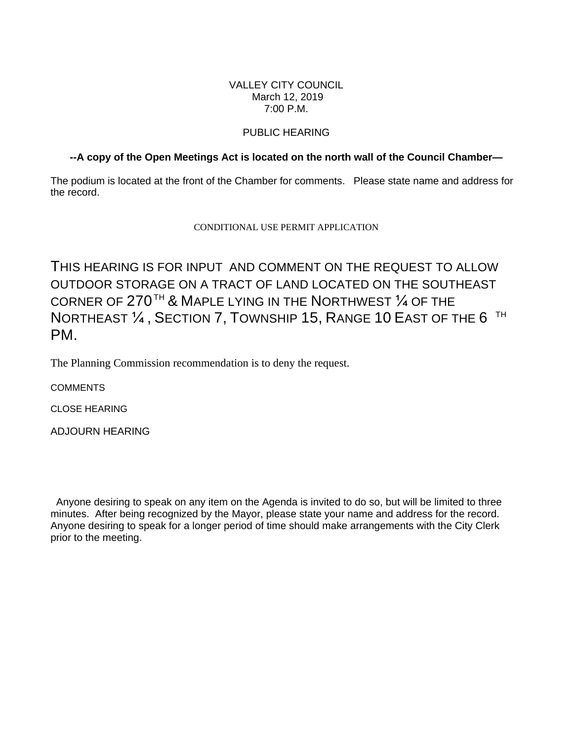## VALLEY CITY COUNCIL March 12, 2019 7:00 P.M.

# PUBLIC HEARING

# **--A copy of the Open Meetings Act is located on the north wall of the Council Chamber—**

The podium is located at the front of the Chamber for comments. Please state name and address for the record.

## CONDITIONAL USE PERMIT APPLICATION

THIS HEARING IS FOR INPUT AND COMMENT ON THE REQUEST TO ALLOW OUTDOOR STORAGE ON A TRACT OF LAND LOCATED ON THE SOUTHEAST CORNER OF  $270^{\text{TH}}$  & Maple lying in the Northwest  $\%$  of the NORTHEAST  $\mathcal{V}_4$  , Section 7, Township 15, Range 10 East of the 6  $^{\sf{TH}}$ PM.

The Planning Commission recommendation is to deny the request.

**COMMENTS** 

CLOSE HEARING

ADJOURN HEARING

 Anyone desiring to speak on any item on the Agenda is invited to do so, but will be limited to three minutes. After being recognized by the Mayor, please state your name and address for the record. Anyone desiring to speak for a longer period of time should make arrangements with the City Clerk prior to the meeting.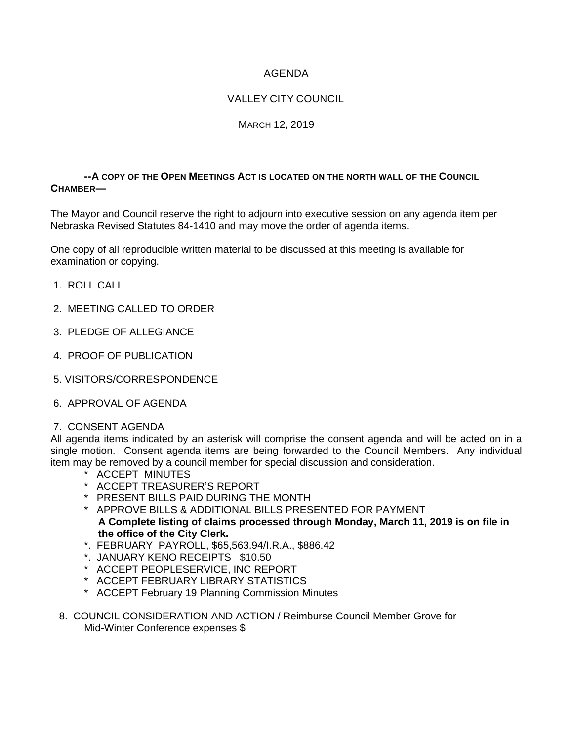# AGENDA

# VALLEY CITY COUNCIL

## MARCH 12, 2019

### **--A COPY OF THE OPEN MEETINGS ACT IS LOCATED ON THE NORTH WALL OF THE COUNCIL CHAMBER—**

The Mayor and Council reserve the right to adjourn into executive session on any agenda item per Nebraska Revised Statutes 84-1410 and may move the order of agenda items.

One copy of all reproducible written material to be discussed at this meeting is available for examination or copying.

- 1. ROLL CALL
- 2. MEETING CALLED TO ORDER
- 3. PLEDGE OF ALLEGIANCE
- 4. PROOF OF PUBLICATION
- 5. VISITORS/CORRESPONDENCE
- 6. APPROVAL OF AGENDA

### 7. CONSENT AGENDA

All agenda items indicated by an asterisk will comprise the consent agenda and will be acted on in a single motion. Consent agenda items are being forwarded to the Council Members. Any individual item may be removed by a council member for special discussion and consideration.

- \* ACCEPT MINUTES
- \* ACCEPT TREASURER'S REPORT
- \* PRESENT BILLS PAID DURING THE MONTH
- \* APPROVE BILLS & ADDITIONAL BILLS PRESENTED FOR PAYMENT **A Complete listing of claims processed through Monday, March 11, 2019 is on file in the office of the City Clerk.**
- \*. FEBRUARY PAYROLL, \$65,563.94/I.R.A., \$886.42
- \*. JANUARY KENO RECEIPTS \$10.50
- \* ACCEPT PEOPLESERVICE, INC REPORT
- \* ACCEPT FEBRUARY LIBRARY STATISTICS
- \* ACCEPT February 19 Planning Commission Minutes
- 8. COUNCIL CONSIDERATION AND ACTION / Reimburse Council Member Grove for Mid-Winter Conference expenses \$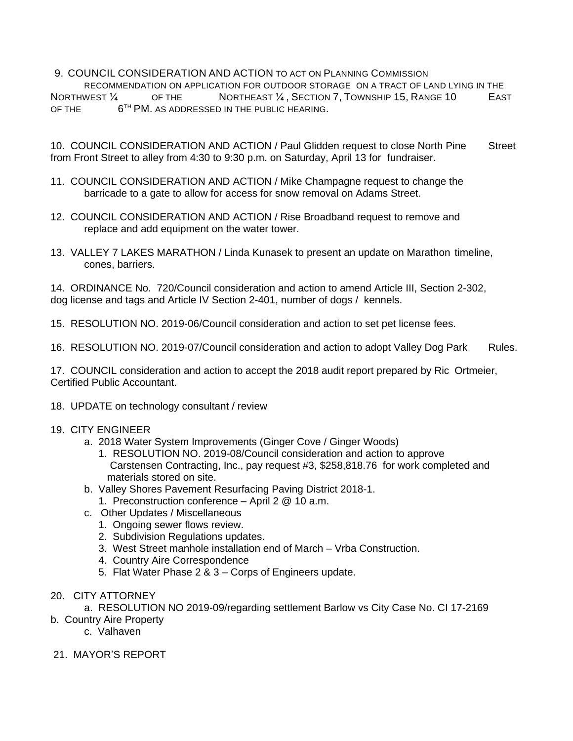9. COUNCIL CONSIDERATION AND ACTION TO ACT ON PLANNING COMMISSION

RECOMMENDATION ON APPLICATION FOR OUTDOOR STORAGE ON A TRACT OF LAND LYING IN THE NORTHWEST 1/4 OF THE NORTHEAST 1/4, SECTION 7, TOWNSHIP 15, RANGE 10 EAST OF THE  $6^{TH}$  PM. AS ADDRESSED IN THE PUBLIC HEARING.

10. COUNCIL CONSIDERATION AND ACTION / Paul Glidden request to close North Pine Street from Front Street to alley from 4:30 to 9:30 p.m. on Saturday, April 13 for fundraiser.

- 11. COUNCIL CONSIDERATION AND ACTION / Mike Champagne request to change the barricade to a gate to allow for access for snow removal on Adams Street.
- 12. COUNCIL CONSIDERATION AND ACTION / Rise Broadband request to remove and replace and add equipment on the water tower.
- 13. VALLEY 7 LAKES MARATHON / Linda Kunasek to present an update on Marathon timeline, cones, barriers.

14. ORDINANCE No. 720/Council consideration and action to amend Article III, Section 2-302, dog license and tags and Article IV Section 2-401, number of dogs / kennels.

15. RESOLUTION NO. 2019-06/Council consideration and action to set pet license fees.

16. RESOLUTION NO. 2019-07/Council consideration and action to adopt Valley Dog Park Rules.

17. COUNCIL consideration and action to accept the 2018 audit report prepared by Ric Ortmeier, Certified Public Accountant.

18. UPDATE on technology consultant / review

#### 19. CITY ENGINEER

- a. 2018 Water System Improvements (Ginger Cove / Ginger Woods)
	- 1. RESOLUTION NO. 2019-08/Council consideration and action to approve Carstensen Contracting, Inc., pay request #3, \$258,818.76 for work completed and materials stored on site.
- b. Valley Shores Pavement Resurfacing Paving District 2018-1.
	- 1. Preconstruction conference April 2 @ 10 a.m.
- c. Other Updates / Miscellaneous
	- 1. Ongoing sewer flows review.
	- 2. Subdivision Regulations updates.
	- 3. West Street manhole installation end of March Vrba Construction.
	- 4. Country Aire Correspondence
	- 5. Flat Water Phase 2 & 3 Corps of Engineers update.
- 20. CITY ATTORNEY

a. RESOLUTION NO 2019-09/regarding settlement Barlow vs City Case No. CI 17-2169

- b. Country Aire Property
	- c. Valhaven
- 21. MAYOR'S REPORT